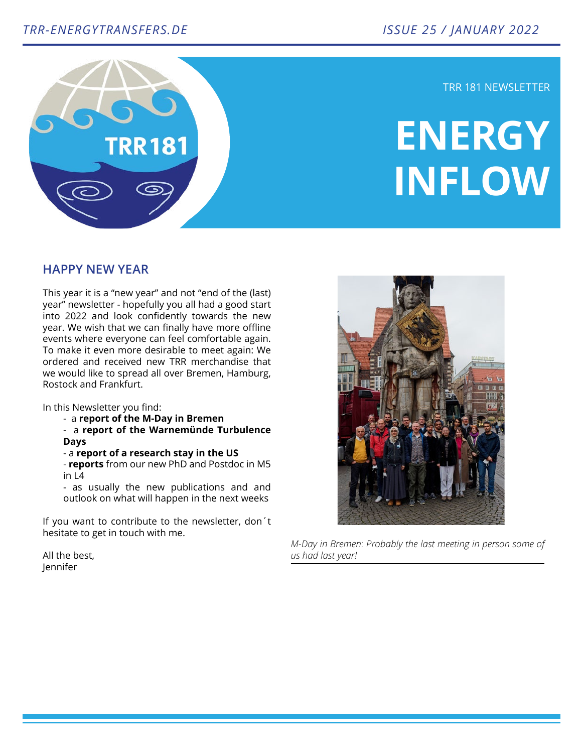

TRR 181 NEWSLETTER

# **ENERGY INFLOW**

## **HAPPY NEW YEAR**

This year it is a "new year" and not "end of the (last) year" newsletter - hopefully you all had a good start into 2022 and look confidently towards the new year. We wish that we can finally have more offline events where everyone can feel comfortable again. To make it even more desirable to meet again: We ordered and received new TRR merchandise that we would like to spread all over Bremen, Hamburg, Rostock and Frankfurt.

In this Newsletter you find:

- a **report of the M-Day in Bremen**
- a **report of the Warnemünde Turbulence Days**
- a **report of a research stay in the US**

- **reports** from our new PhD and Postdoc in M5 in L4

- as usually the new publications and and outlook on what will happen in the next weeks

If you want to contribute to the newsletter, don´t hesitate to get in touch with me.

All the best, Jennifer



*M-Day in Bremen: Probably the last meeting in person some of us had last year!*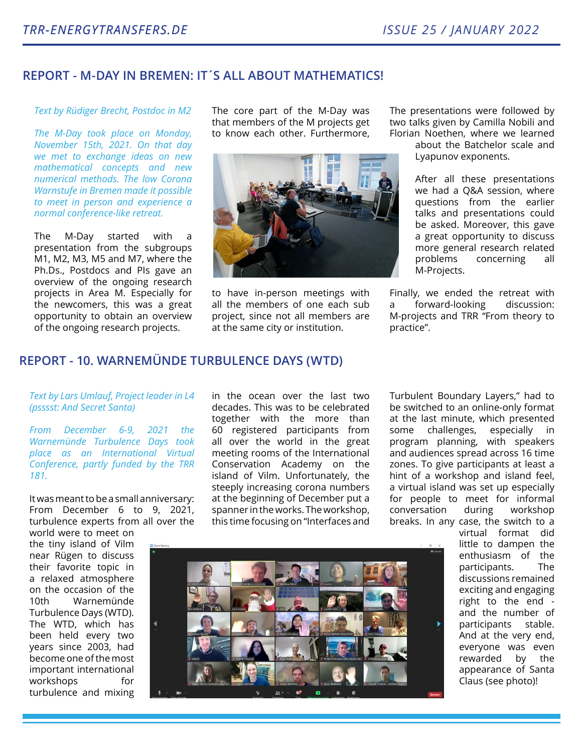# **REPORT - M-DAY IN BREMEN: IT´S ALL ABOUT MATHEMATICS!**

## *Text by Rüdiger Brecht, Postdoc in M2*

*The M-Day took place on Monday, November 15th, 2021. On that day we met to exchange ideas on new mathematical concepts and new numerical methods. The low Corona Warnstufe in Bremen made it possible to meet in person and experience a normal conference-like retreat.* 

The M-Day started with a presentation from the subgroups M1, M2, M3, M5 and M7, where the Ph.Ds., Postdocs and PIs gave an overview of the ongoing research projects in Area M. Especially for the newcomers, this was a great opportunity to obtain an overview of the ongoing research projects.

The core part of the M-Day was that members of the M projects get to know each other. Furthermore,



to have in-person meetings with all the members of one each sub project, since not all members are at the same city or institution.

The presentations were followed by two talks given by Camilla Nobili and Florian Noethen, where we learned

> about the Batchelor scale and Lyapunov exponents.

> After all these presentations we had a Q&A session, where questions from the earlier talks and presentations could be asked. Moreover, this gave a great opportunity to discuss more general research related problems concerning all M-Projects.

Finally, we ended the retreat with a forward-looking discussion: M-projects and TRR "From theory to practice".

# **REPORT - 10. WARNEMÜNDE TURBULENCE DAYS (WTD)**

## *Text by Lars Umlauf, Project leader in L4 (psssst: And Secret Santa)*

*From December 6-9, 2021 the Warnemünde Turbulence Days took place as an International Virtual Conference, partly funded by the TRR 181.*

It was meant to be a small anniversary: From December 6 to 9, 2021, turbulence experts from all over the

world were to meet on the tiny island of Vilm near Rügen to discuss their favorite topic in a relaxed atmosphere on the occasion of the 10th Warnemünde Turbulence Days (WTD). The WTD, which has been held every two years since 2003, had become one of the most important international workshops for turbulence and mixing in the ocean over the last two decades. This was to be celebrated together with the more than 60 registered participants from all over the world in the great meeting rooms of the International Conservation Academy on the island of Vilm. Unfortunately, the steeply increasing corona numbers at the beginning of December put a spanner in the works. The workshop, this time focusing on "Interfaces and

Turbulent Boundary Layers," had to be switched to an online-only format at the last minute, which presented some challenges, especially in program planning, with speakers and audiences spread across 16 time zones. To give participants at least a hint of a workshop and island feel, a virtual island was set up especially for people to meet for informal conversation during workshop breaks. In any case, the switch to a



virtual format did little to dampen the enthusiasm of the participants. The discussions remained exciting and engaging right to the end and the number of participants stable. And at the very end, everyone was even rewarded by the appearance of Santa Claus (see photo)!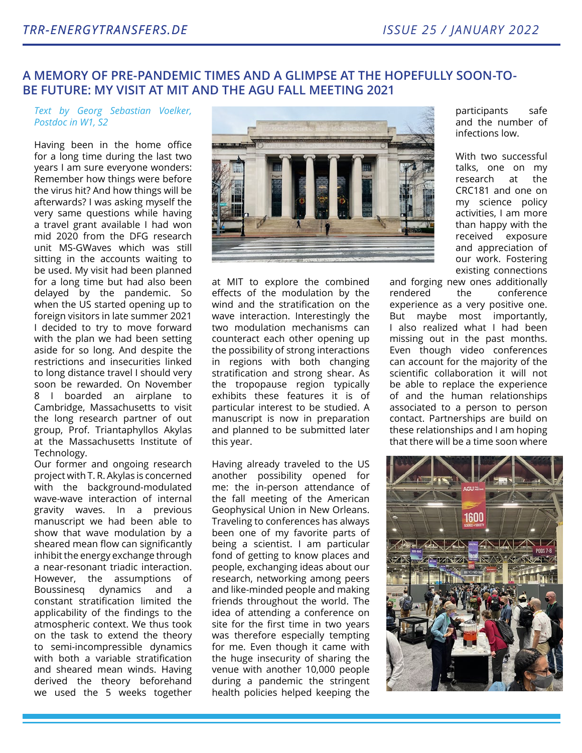# **A MEMORY OF PRE-PANDEMIC TIMES AND A GLIMPSE AT THE HOPEFULLY SOON-TO-BE FUTURE: MY VISIT AT MIT AND THE AGU FALL MEETING 2021**

*Text by Georg Sebastian Voelker, Postdoc in W1, S2*

Having been in the home office for a long time during the last two years I am sure everyone wonders: Remember how things were before the virus hit? And how things will be afterwards? I was asking myself the very same questions while having a travel grant available I had won mid 2020 from the DFG research unit MS-GWaves which was still sitting in the accounts waiting to be used. My visit had been planned for a long time but had also been delayed by the pandemic. So when the US started opening up to foreign visitors in late summer 2021 I decided to try to move forward with the plan we had been setting aside for so long. And despite the restrictions and insecurities linked to long distance travel I should very soon be rewarded. On November 8 I boarded an airplane to Cambridge, Massachusetts to visit the long research partner of out group, Prof. Triantaphyllos Akylas at the Massachusetts Institute of Technology.

Our former and ongoing research project with T. R. Akylas is concerned with the background-modulated wave-wave interaction of internal gravity waves. In a previous manuscript we had been able to show that wave modulation by a sheared mean flow can significantly inhibit the energy exchange through a near-resonant triadic interaction. However, the assumptions of Boussinesg dynamics and constant stratification limited the applicability of the findings to the atmospheric context. We thus took on the task to extend the theory to semi-incompressible dynamics with both a variable stratification and sheared mean winds. Having derived the theory beforehand we used the 5 weeks together



at MIT to explore the combined effects of the modulation by the wind and the stratification on the wave interaction. Interestingly the two modulation mechanisms can counteract each other opening up the possibility of strong interactions in regions with both changing stratification and strong shear. As the tropopause region typically exhibits these features it is of particular interest to be studied. A manuscript is now in preparation and planned to be submitted later this year.

Having already traveled to the US another possibility opened for me: the in-person attendance of the fall meeting of the American Geophysical Union in New Orleans. Traveling to conferences has always been one of my favorite parts of being a scientist. I am particular fond of getting to know places and people, exchanging ideas about our research, networking among peers and like-minded people and making friends throughout the world. The idea of attending a conference on site for the first time in two years was therefore especially tempting for me. Even though it came with the huge insecurity of sharing the venue with another 10,000 people during a pandemic the stringent health policies helped keeping the

participants safe and the number of infections low.

With two successful talks, one on my research at the CRC181 and one on my science policy activities, I am more than happy with the received exposure and appreciation of our work. Fostering existing connections

and forging new ones additionally rendered the conference experience as a very positive one. But maybe most importantly, I also realized what I had been missing out in the past months. Even though video conferences can account for the majority of the scientific collaboration it will not be able to replace the experience of and the human relationships associated to a person to person contact. Partnerships are build on these relationships and I am hoping that there will be a time soon where

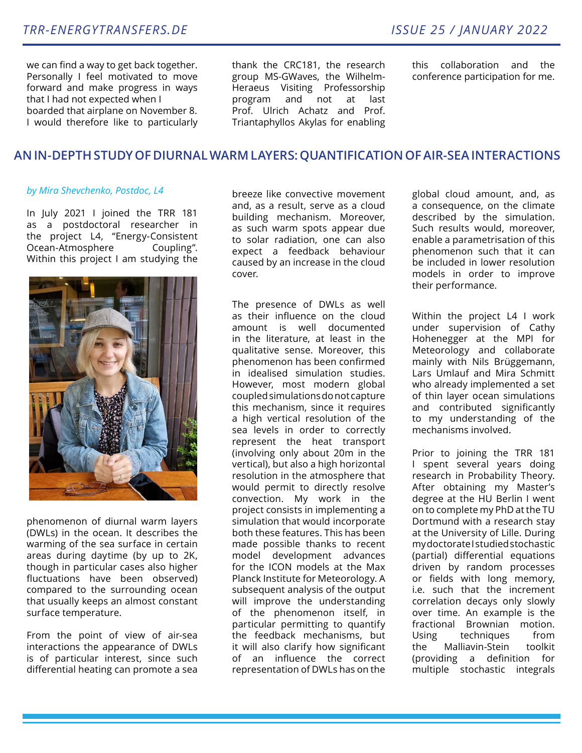we can find a way to get back together. Personally I feel motivated to move forward and make progress in ways that I had not expected when I boarded that airplane on November 8. I would therefore like to particularly thank the CRC181, the research group MS-GWaves, the Wilhelm-Heraeus Visiting Professorship program and not at last Prof. Ulrich Achatz and Prof. Triantaphyllos Akylas for enabling

this collaboration and the conference participation for me.

# **AN IN-DEPTH STUDY OF DIURNAL WARM LAYERS: QUANTIFICATION OF AIR-SEA INTERACTIONS**

## *by Mira Shevchenko, Postdoc, L4*

In July 2021 I joined the TRR 181 as a postdoctoral researcher in the project L4, "Energy-Consistent Ocean-Atmosphere Coupling". Within this project I am studying the



phenomenon of diurnal warm layers (DWLs) in the ocean. It describes the warming of the sea surface in certain areas during daytime (by up to 2K, though in particular cases also higher fluctuations have been observed) compared to the surrounding ocean that usually keeps an almost constant surface temperature.

From the point of view of air-sea interactions the appearance of DWLs is of particular interest, since such differential heating can promote a sea

breeze like convective movement and, as a result, serve as a cloud building mechanism. Moreover, as such warm spots appear due to solar radiation, one can also expect a feedback behaviour caused by an increase in the cloud cover.

The presence of DWLs as well as their influence on the cloud amount is well documented in the literature, at least in the qualitative sense. Moreover, this phenomenon has been confirmed in idealised simulation studies. However, most modern global coupled simulations do not capture this mechanism, since it requires a high vertical resolution of the sea levels in order to correctly represent the heat transport (involving only about 20m in the vertical), but also a high horizontal resolution in the atmosphere that would permit to directly resolve convection. My work in the project consists in implementing a simulation that would incorporate both these features. This has been made possible thanks to recent model development advances for the ICON models at the Max Planck Institute for Meteorology. A subsequent analysis of the output will improve the understanding of the phenomenon itself, in particular permitting to quantify the feedback mechanisms, but it will also clarify how significant of an influence the correct representation of DWLs has on the

global cloud amount, and, as a consequence, on the climate described by the simulation. Such results would, moreover, enable a parametrisation of this phenomenon such that it can be included in lower resolution models in order to improve their performance.

Within the project L4 I work under supervision of Cathy Hohenegger at the MPI for Meteorology and collaborate mainly with Nils Brüggemann, Lars Umlauf and Mira Schmitt who already implemented a set of thin layer ocean simulations and contributed significantly to my understanding of the mechanisms involved.

Prior to joining the TRR 181 I spent several years doing research in Probability Theory. After obtaining my Master's degree at the HU Berlin I went on to complete my PhD at the TU Dortmund with a research stay at the University of Lille. During my doctorate I studied stochastic (partial) differential equations driven by random processes or fields with long memory, i.e. such that the increment correlation decays only slowly over time. An example is the fractional Brownian motion. Using techniques from the Malliavin-Stein toolkit (providing a definition for multiple stochastic integrals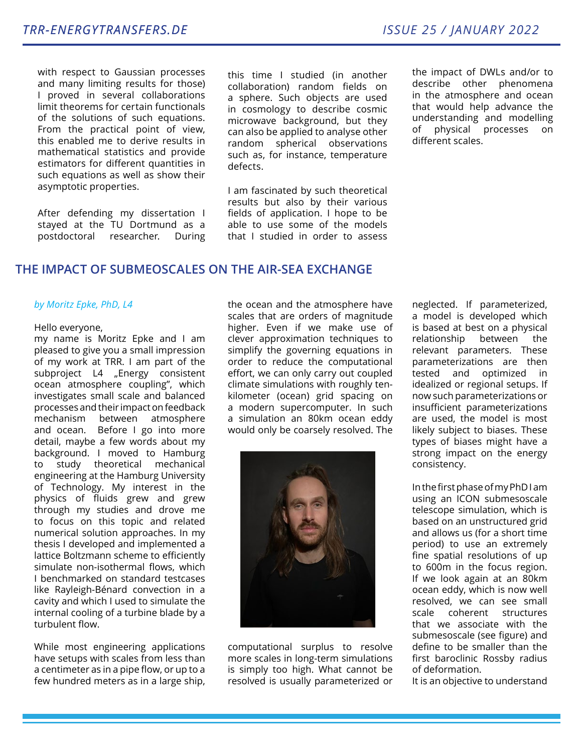with respect to Gaussian processes and many limiting results for those) I proved in several collaborations limit theorems for certain functionals of the solutions of such equations. From the practical point of view, this enabled me to derive results in mathematical statistics and provide estimators for different quantities in such equations as well as show their asymptotic properties.

After defending my dissertation I stayed at the TU Dortmund as a postdoctoral researcher. During this time I studied (in another collaboration) random fields on a sphere. Such objects are used in cosmology to describe cosmic microwave background, but they can also be applied to analyse other random spherical observations such as, for instance, temperature defects.

I am fascinated by such theoretical results but also by their various fields of application. I hope to be able to use some of the models that I studied in order to assess

the impact of DWLs and/or to describe other phenomena in the atmosphere and ocean that would help advance the understanding and modelling of physical processes on different scales.

# **THE IMPACT OF SUBMEOSCALES ON THE AIR-SEA EXCHANGE**

#### *by Moritz Epke, PhD, L4*

#### Hello everyone,

my name is Moritz Epke and I am pleased to give you a small impression of my work at TRR. I am part of the subproject L4 "Energy consistent ocean atmosphere coupling", which investigates small scale and balanced processes and their impact on feedback mechanism between atmosphere and ocean. Before I go into more detail, maybe a few words about my background. I moved to Hamburg to study theoretical mechanical engineering at the Hamburg University of Technology. My interest in the physics of fluids grew and grew through my studies and drove me to focus on this topic and related numerical solution approaches. In my thesis I developed and implemented a lattice Boltzmann scheme to efficiently simulate non-isothermal flows, which I benchmarked on standard testcases like Rayleigh-Bénard convection in a cavity and which I used to simulate the internal cooling of a turbine blade by a turbulent flow.

While most engineering applications have setups with scales from less than a centimeter as in a pipe flow, or up to a few hundred meters as in a large ship, the ocean and the atmosphere have scales that are orders of magnitude higher. Even if we make use of clever approximation techniques to simplify the governing equations in order to reduce the computational effort, we can only carry out coupled climate simulations with roughly tenkilometer (ocean) grid spacing on a modern supercomputer. In such a simulation an 80km ocean eddy would only be coarsely resolved. The



computational surplus to resolve more scales in long-term simulations is simply too high. What cannot be resolved is usually parameterized or

neglected. If parameterized, a model is developed which is based at best on a physical relationship between the relevant parameters. These parameterizations are then tested and optimized in idealized or regional setups. If now such parameterizations or insufficient parameterizations are used, the model is most likely subject to biases. These types of biases might have a strong impact on the energy consistency.

In the first phase of my PhD I am using an ICON submesoscale telescope simulation, which is based on an unstructured grid and allows us (for a short time period) to use an extremely fine spatial resolutions of up to 600m in the focus region. If we look again at an 80km ocean eddy, which is now well resolved, we can see small scale coherent structures that we associate with the submesoscale (see figure) and define to be smaller than the first baroclinic Rossby radius of deformation.

It is an objective to understand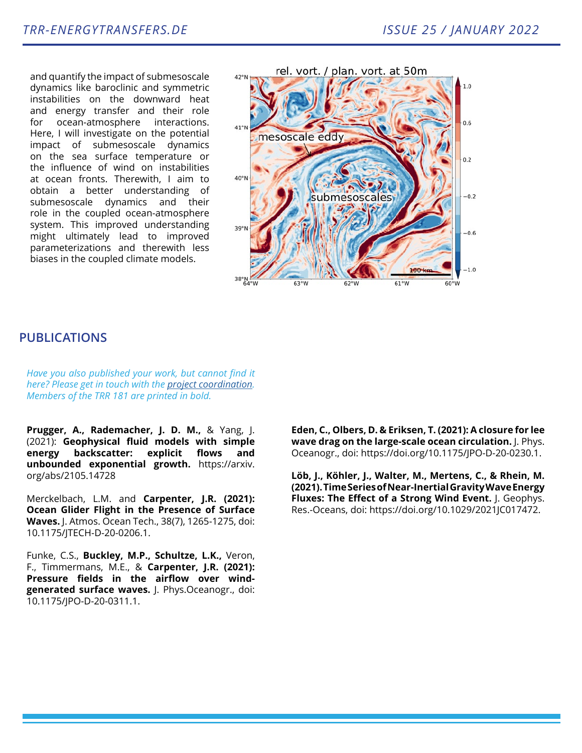and quantify the impact of submesoscale dynamics like baroclinic and symmetric instabilities on the downward heat and energy transfer and their role for ocean-atmosphere interactions. Here, I will investigate on the potential impact of submesoscale dynamics on the sea surface temperature or the influence of wind on instabilities at ocean fronts. Therewith, I aim to obtain a better understanding of submesoscale dynamics and their role in the coupled ocean-atmosphere system. This improved understanding might ultimately lead to improved parameterizations and therewith less biases in the coupled climate models.



## **PUBLICATIONS**

*Have you also published your work, but cannot find it here? Please get in touch with the [project coordination.](mailto:trr181.cen%40uni-hamburg.de?subject=) Members of the TRR 181 are printed in bold.*

**Prugger, A., Rademacher, J. D. M.,** & Yang, J. (2021): **Geophysical fluid models with simple energy backscatter: explicit flows and unbounded exponential growth.** https://arxiv. org/abs/2105.14728

Merckelbach, L.M. and **Carpenter, J.R. (2021): Ocean Glider Flight in the Presence of Surface Waves.** J. Atmos. Ocean Tech., 38(7), 1265-1275, doi: 10.1175/JTECH-D-20-0206.1.

Funke, C.S., **Buckley, M.P., Schultze, L.K.,** Veron, F., Timmermans, M.E., & **Carpenter, J.R. (2021): Pressure fields in the airflow over windgenerated surface waves.** J. Phys.Oceanogr., doi: 10.1175/JPO-D-20-0311.1.

**Eden, C., Olbers, D. & Eriksen, T. (2021): A closure for lee wave drag on the large-scale ocean circulation.** J. Phys. Oceanogr., doi: https://doi.org/10.1175/JPO-D-20-0230.1.

**Löb, J., Köhler, J., Walter, M., Mertens, C., & Rhein, M. (2021). Time Series of Near-Inertial Gravity Wave Energy Fluxes: The Effect of a Strong Wind Event.** J. Geophys. Res.-Oceans, doi: https://doi.org/10.1029/2021JC017472.